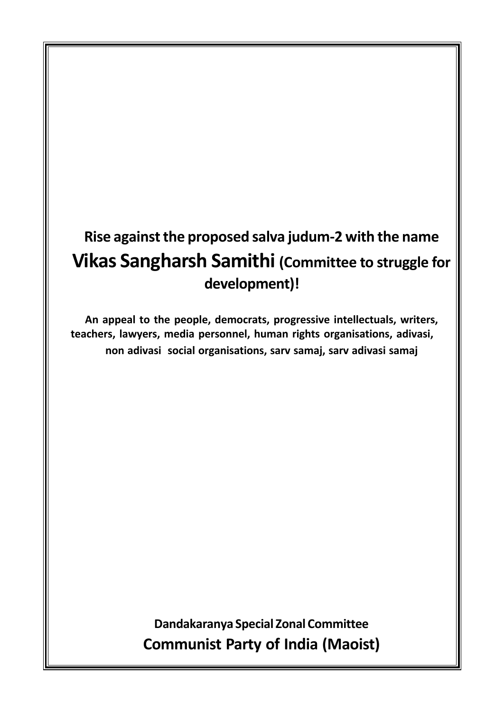# **Rise against the proposed salva judum-2 with the name Vikas Sangharsh Samithi (Committee to struggle for development)!**

**An appeal to the people, democrats, progressive intellectuals, writers, teachers, lawyers, media personnel, human rights organisations, adivasi, non adivasi social organisations, sarv samaj, sarv adivasi samaj**

> **Dandakaranya Special Zonal Committee Communist Party of India (Maoist)**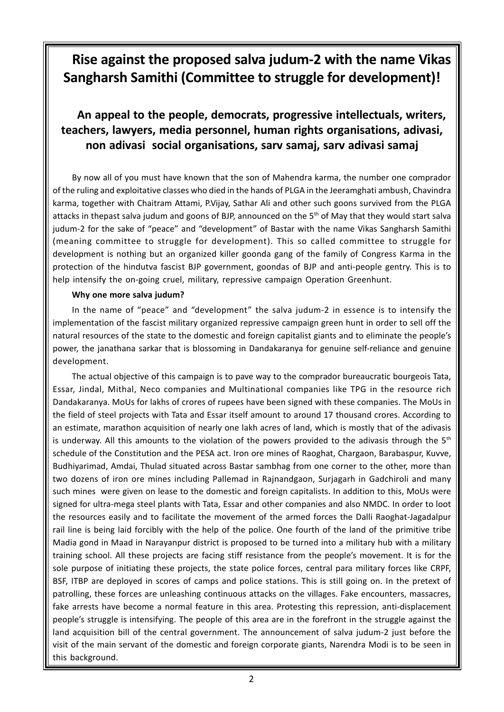### **Rise against the proposed salva judum-2 with the name Vikas Sangharsh Samithi (Committee to struggle for development)!**

### **An appeal to the people, democrats, progressive intellectuals, writers, teachers, lawyers, media personnel, human rights organisations, adivasi, non adivasi social organisations, sarv samaj, sarv adivasi samaj**

By now all of you must have known that the son of Mahendra karma, the number one comprador of the ruling and exploitative classes who died in the hands of PLGA in the Jeeramghati ambush, Chavindra karma, together with Chaitram Attami, P.Vijay, Sathar Ali and other such goons survived from the PLGA attacks in thepast salva judum and goons of BJP, announced on the 5th of May that they would start salva judum-2 for the sake of "peace" and "development" of Bastar with the name Vikas Sangharsh Samithi (meaning committee to struggle for development). This so called committee to struggle for development is nothing but an organized killer goonda gang of the family of Congress Karma in the protection of the hindutva fascist BJP government, goondas of BJP and anti-people gentry. This is to help intensify the on-going cruel, military, repressive campaign Operation Greenhunt.

#### **Why one more salva judum?**

In the name of "peace" and "development" the salva judum-2 in essence is to intensify the implementation of the fascist military organized repressive campaign green hunt in order to sell off the natural resources of the state to the domestic and foreign capitalist giants and to eliminate the people's power, the janathana sarkar that is blossoming in Dandakaranya for genuine self-reliance and genuine development.

The actual objective of this campaign is to pave way to the comprador bureaucratic bourgeois Tata, Essar, Jindal, Mithal, Neco companies and Multinational companies like TPG in the resource rich Dandakaranya. MoUs for lakhs of crores of rupees have been signed with these companies. The MoUs in the field of steel projects with Tata and Essar itself amount to around 17 thousand crores. According to an estimate, marathon acquisition of nearly one lakh acres of land, which is mostly that of the adivasis is underway. All this amounts to the violation of the powers provided to the adivasis through the  $5<sup>th</sup>$ schedule of the Constitution and the PESA act. Iron ore mines of Raoghat, Chargaon, Barabaspur, Kuvve, Budhiyarimad, Amdai, Thulad situated across Bastar sambhag from one corner to the other, more than two dozens of iron ore mines including Pallemad in Rajnandgaon, Surjagarh in Gadchiroli and many such mines were given on lease to the domestic and foreign capitalists. In addition to this, MoUs were signed for ultra-mega steel plants with Tata, Essar and other companies and also NMDC. In order to loot the resources easily and to facilitate the movement of the armed forces the Dalli Raoghat-Jagadalpur rail line is being laid forcibly with the help of the police. One fourth of the land of the primitive tribe Madia gond in Maad in Narayanpur district is proposed to be turned into a military hub with a military training school. All these projects are facing stiff resistance from the people's movement. It is for the sole purpose of initiating these projects, the state police forces, central para military forces like CRPF, BSF, ITBP are deployed in scores of camps and police stations. This is still going on. In the pretext of patrolling, these forces are unleashing continuous attacks on the villages. Fake encounters, massacres, fake arrests have become a normal feature in this area. Protesting this repression, anti-displacement people's struggle is intensifying. The people of this area are in the forefront in the struggle against the land acquisition bill of the central government. The announcement of salva judum-2 just before the visit of the main servant of the domestic and foreign corporate giants, Narendra Modi is to be seen in this background.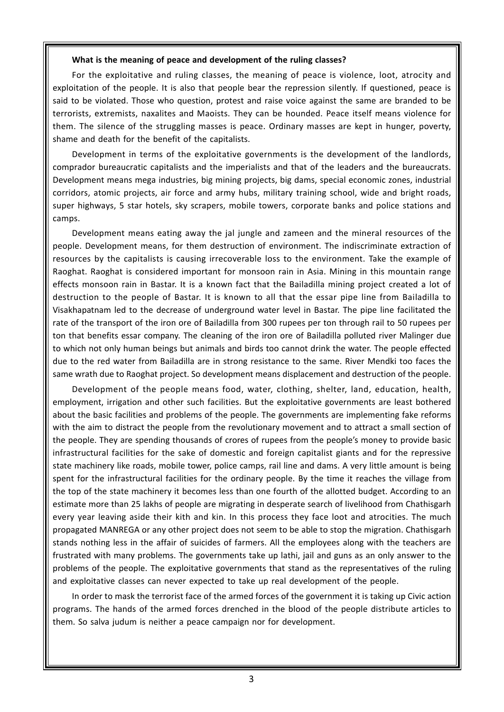#### **What is the meaning of peace and development of the ruling classes?**

For the exploitative and ruling classes, the meaning of peace is violence, loot, atrocity and exploitation of the people. It is also that people bear the repression silently. If questioned, peace is said to be violated. Those who question, protest and raise voice against the same are branded to be terrorists, extremists, naxalites and Maoists. They can be hounded. Peace itself means violence for them. The silence of the struggling masses is peace. Ordinary masses are kept in hunger, poverty, shame and death for the benefit of the capitalists.

Development in terms of the exploitative governments is the development of the landlords, comprador bureaucratic capitalists and the imperialists and that of the leaders and the bureaucrats. Development means mega industries, big mining projects, big dams, special economic zones, industrial corridors, atomic projects, air force and army hubs, military training school, wide and bright roads, super highways, 5 star hotels, sky scrapers, mobile towers, corporate banks and police stations and camps.

Development means eating away the jal jungle and zameen and the mineral resources of the people. Development means, for them destruction of environment. The indiscriminate extraction of resources by the capitalists is causing irrecoverable loss to the environment. Take the example of Raoghat. Raoghat is considered important for monsoon rain in Asia. Mining in this mountain range effects monsoon rain in Bastar. It is a known fact that the Bailadilla mining project created a lot of destruction to the people of Bastar. It is known to all that the essar pipe line from Bailadilla to Visakhapatnam led to the decrease of underground water level in Bastar. The pipe line facilitated the rate of the transport of the iron ore of Bailadilla from 300 rupees per ton through rail to 50 rupees per ton that benefits essar company. The cleaning of the iron ore of Bailadilla polluted river Malinger due to which not only human beings but animals and birds too cannot drink the water. The people effected due to the red water from Bailadilla are in strong resistance to the same. River Mendki too faces the same wrath due to Raoghat project. So development means displacement and destruction of the people.

Development of the people means food, water, clothing, shelter, land, education, health, employment, irrigation and other such facilities. But the exploitative governments are least bothered about the basic facilities and problems of the people. The governments are implementing fake reforms with the aim to distract the people from the revolutionary movement and to attract a small section of the people. They are spending thousands of crores of rupees from the people's money to provide basic infrastructural facilities for the sake of domestic and foreign capitalist giants and for the repressive state machinery like roads, mobile tower, police camps, rail line and dams. A very little amount is being spent for the infrastructural facilities for the ordinary people. By the time it reaches the village from the top of the state machinery it becomes less than one fourth of the allotted budget. According to an estimate more than 25 lakhs of people are migrating in desperate search of livelihood from Chathisgarh every year leaving aside their kith and kin. In this process they face loot and atrocities. The much propagated MANREGA or any other project does not seem to be able to stop the migration. Chathisgarh stands nothing less in the affair of suicides of farmers. All the employees along with the teachers are frustrated with many problems. The governments take up lathi, jail and guns as an only answer to the problems of the people. The exploitative governments that stand as the representatives of the ruling and exploitative classes can never expected to take up real development of the people.

In order to mask the terrorist face of the armed forces of the government it is taking up Civic action programs. The hands of the armed forces drenched in the blood of the people distribute articles to them. So salva judum is neither a peace campaign nor for development.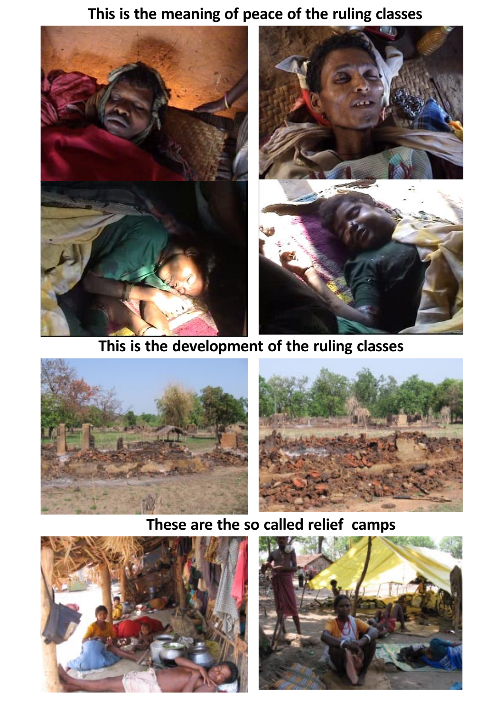### **This is the meaning of peace of the ruling classes**



### **This is the development of the ruling classes**





## **These are the so called relief camps**



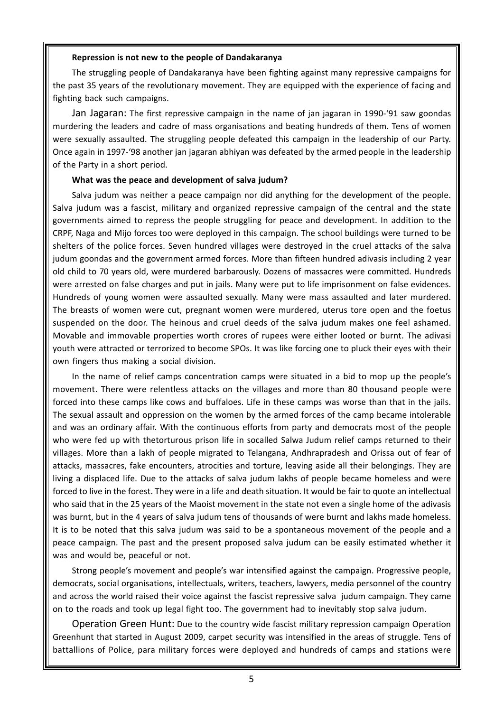#### **Repression is not new to the people of Dandakaranya**

The struggling people of Dandakaranya have been fighting against many repressive campaigns for the past 35 years of the revolutionary movement. They are equipped with the experience of facing and fighting back such campaigns.

Jan Jagaran: The first repressive campaign in the name of jan jagaran in 1990-'91 saw goondas murdering the leaders and cadre of mass organisations and beating hundreds of them. Tens of women were sexually assaulted. The struggling people defeated this campaign in the leadership of our Party. Once again in 1997-'98 another jan jagaran abhiyan was defeated by the armed people in the leadership of the Party in a short period.

#### **What was the peace and development of salva judum?**

Salva judum was neither a peace campaign nor did anything for the development of the people. Salva judum was a fascist, military and organized repressive campaign of the central and the state governments aimed to repress the people struggling for peace and development. In addition to the CRPF, Naga and Mijo forces too were deployed in this campaign. The school buildings were turned to be shelters of the police forces. Seven hundred villages were destroyed in the cruel attacks of the salva judum goondas and the government armed forces. More than fifteen hundred adivasis including 2 year old child to 70 years old, were murdered barbarously. Dozens of massacres were committed. Hundreds were arrested on false charges and put in jails. Many were put to life imprisonment on false evidences. Hundreds of young women were assaulted sexually. Many were mass assaulted and later murdered. The breasts of women were cut, pregnant women were murdered, uterus tore open and the foetus suspended on the door. The heinous and cruel deeds of the salva judum makes one feel ashamed. Movable and immovable properties worth crores of rupees were either looted or burnt. The adivasi youth were attracted or terrorized to become SPOs. It was like forcing one to pluck their eyes with their own fingers thus making a social division.

In the name of relief camps concentration camps were situated in a bid to mop up the people's movement. There were relentless attacks on the villages and more than 80 thousand people were forced into these camps like cows and buffaloes. Life in these camps was worse than that in the jails. The sexual assault and oppression on the women by the armed forces of the camp became intolerable and was an ordinary affair. With the continuous efforts from party and democrats most of the people who were fed up with thetorturous prison life in socalled Salwa Judum relief camps returned to their villages. More than a lakh of people migrated to Telangana, Andhrapradesh and Orissa out of fear of attacks, massacres, fake encounters, atrocities and torture, leaving aside all their belongings. They are living a displaced life. Due to the attacks of salva judum lakhs of people became homeless and were forced to live in the forest. They were in a life and death situation. It would be fair to quote an intellectual who said that in the 25 years of the Maoist movement in the state not even a single home of the adivasis was burnt, but in the 4 years of salva judum tens of thousands of were burnt and lakhs made homeless. It is to be noted that this salva judum was said to be a spontaneous movement of the people and a peace campaign. The past and the present proposed salva judum can be easily estimated whether it was and would be, peaceful or not.

Strong people's movement and people's war intensified against the campaign. Progressive people, democrats, social organisations, intellectuals, writers, teachers, lawyers, media personnel of the country and across the world raised their voice against the fascist repressive salva judum campaign. They came on to the roads and took up legal fight too. The government had to inevitably stop salva judum.

Operation Green Hunt: Due to the country wide fascist military repression campaign Operation Greenhunt that started in August 2009, carpet security was intensified in the areas of struggle. Tens of battallions of Police, para military forces were deployed and hundreds of camps and stations were